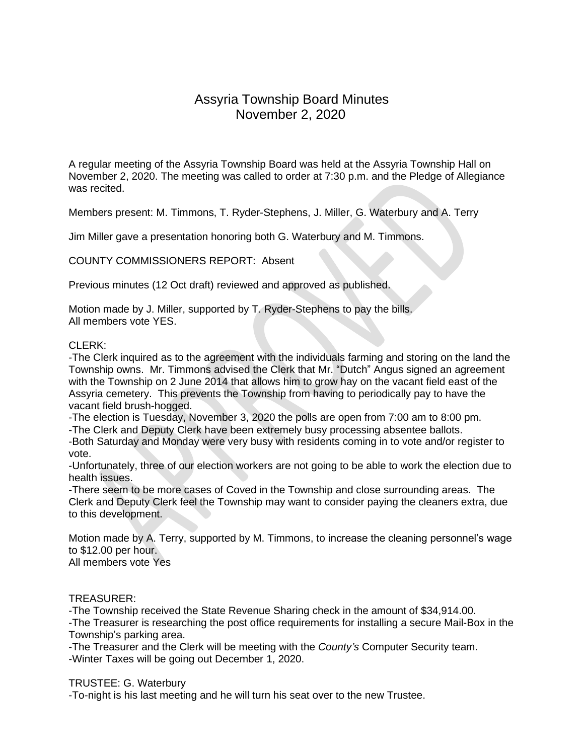# Assyria Township Board Minutes November 2, 2020

A regular meeting of the Assyria Township Board was held at the Assyria Township Hall on November 2, 2020. The meeting was called to order at 7:30 p.m. and the Pledge of Allegiance was recited.

Members present: M. Timmons, T. Ryder-Stephens, J. Miller, G. Waterbury and A. Terry

Jim Miller gave a presentation honoring both G. Waterbury and M. Timmons.

COUNTY COMMISSIONERS REPORT: Absent

Previous minutes (12 Oct draft) reviewed and approved as published.

Motion made by J. Miller, supported by T. Ryder-Stephens to pay the bills. All members vote YES.

### CLERK:

-The Clerk inquired as to the agreement with the individuals farming and storing on the land the Township owns. Mr. Timmons advised the Clerk that Mr. "Dutch" Angus signed an agreement with the Township on 2 June 2014 that allows him to grow hay on the vacant field east of the Assyria cemetery. This prevents the Township from having to periodically pay to have the vacant field brush-hogged.

-The election is Tuesday, November 3, 2020 the polls are open from 7:00 am to 8:00 pm.

-The Clerk and Deputy Clerk have been extremely busy processing absentee ballots.

-Both Saturday and Monday were very busy with residents coming in to vote and/or register to vote.

-Unfortunately, three of our election workers are not going to be able to work the election due to health issues.

-There seem to be more cases of Coved in the Township and close surrounding areas. The Clerk and Deputy Clerk feel the Township may want to consider paying the cleaners extra, due to this development.

Motion made by A. Terry, supported by M. Timmons, to increase the cleaning personnel's wage to \$12.00 per hour. All members vote Yes

### TREASURER:

-The Township received the State Revenue Sharing check in the amount of \$34,914.00.

-The Treasurer is researching the post office requirements for installing a secure Mail-Box in the Township's parking area.

-The Treasurer and the Clerk will be meeting with the *County's* Computer Security team. -Winter Taxes will be going out December 1, 2020.

### TRUSTEE: G. Waterbury

-To-night is his last meeting and he will turn his seat over to the new Trustee.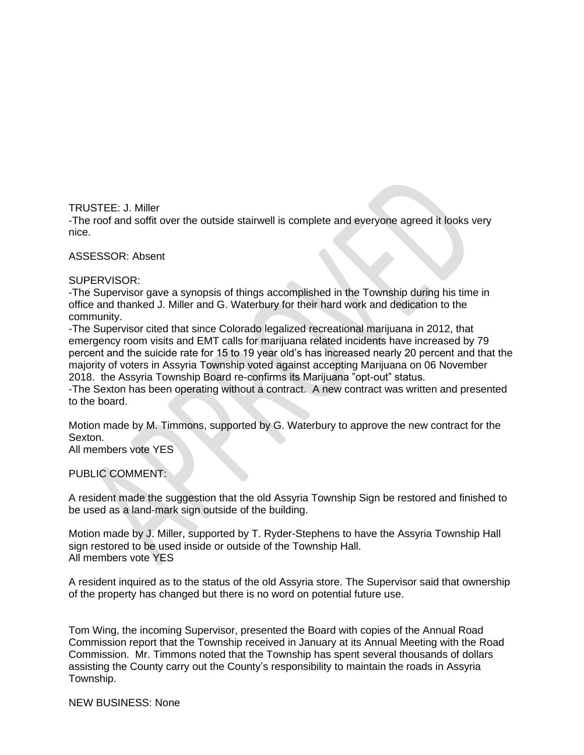TRUSTEE: J. Miller

-The roof and soffit over the outside stairwell is complete and everyone agreed it looks very nice.

ASSESSOR: Absent

SUPERVISOR:

-The Supervisor gave a synopsis of things accomplished in the Township during his time in office and thanked J. Miller and G. Waterbury for their hard work and dedication to the community.

-The Supervisor cited that since Colorado legalized recreational marijuana in 2012, that emergency room visits and EMT calls for marijuana related incidents have increased by 79 percent and the suicide rate for 15 to 19 year old's has increased nearly 20 percent and that the majority of voters in Assyria Township voted against accepting Marijuana on 06 November 2018. the Assyria Township Board re-confirms its Marijuana "opt-out" status.

-The Sexton has been operating without a contract. A new contract was written and presented to the board.

Motion made by M. Timmons, supported by G. Waterbury to approve the new contract for the Sexton.

All members vote YES

PUBLIC COMMENT:

A resident made the suggestion that the old Assyria Township Sign be restored and finished to be used as a land-mark sign outside of the building.

Motion made by J. Miller, supported by T. Ryder-Stephens to have the Assyria Township Hall sign restored to be used inside or outside of the Township Hall. All members vote YES

A resident inquired as to the status of the old Assyria store. The Supervisor said that ownership of the property has changed but there is no word on potential future use.

Tom Wing, the incoming Supervisor, presented the Board with copies of the Annual Road Commission report that the Township received in January at its Annual Meeting with the Road Commission. Mr. Timmons noted that the Township has spent several thousands of dollars assisting the County carry out the County's responsibility to maintain the roads in Assyria Township.

NEW BUSINESS: None